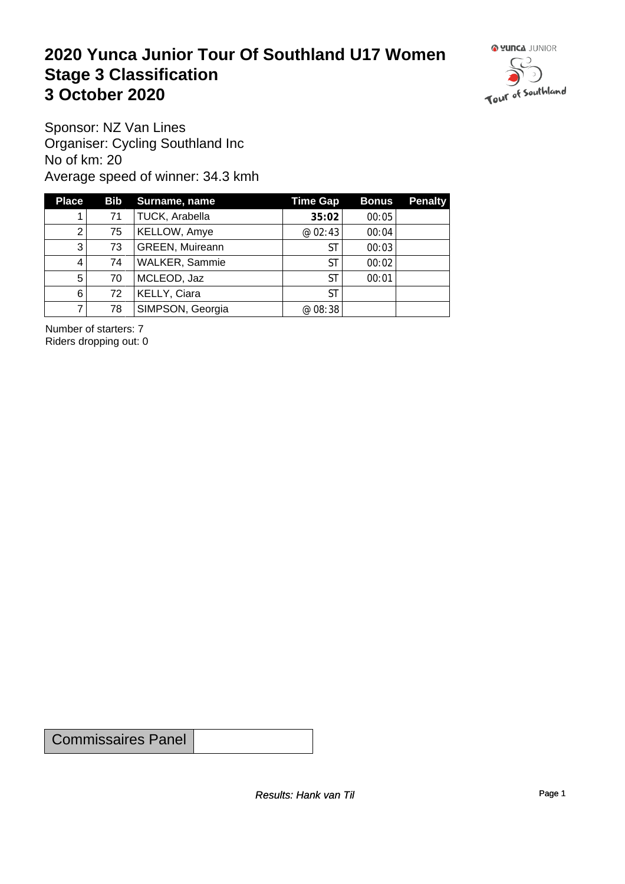#### **2020 Yunca Junior Tour Of Southland U17 Women** Stage 3 Classification<br>
3 October 2020 **3 October 2020**



Sponsor: NZ Van Lines Organiser: Cycling Southland Inc No of km: 20 Average speed of winner: 34.3 kmh

| <b>Place</b> |    | Bib Surname, name      | Time Gap  | <b>Bonus</b> | <b>Penalty</b> |
|--------------|----|------------------------|-----------|--------------|----------------|
|              | 71 | TUCK, Arabella         | 35:02     | 00:05        |                |
| 2            | 75 | <b>KELLOW, Amye</b>    | @ 02:43   | 00:04        |                |
| 3            | 73 | <b>GREEN, Muireann</b> | ST        | 00:03        |                |
| 4            | 74 | WALKER, Sammie         | ST        | 00:02        |                |
| 5            | 70 | MCLEOD, Jaz            | <b>ST</b> | 00:01        |                |
| 6            | 72 | KELLY, Ciara           | ST        |              |                |
|              | 78 | SIMPSON, Georgia       | @ 08:38   |              |                |

Number of starters: 7 Riders dropping out: 0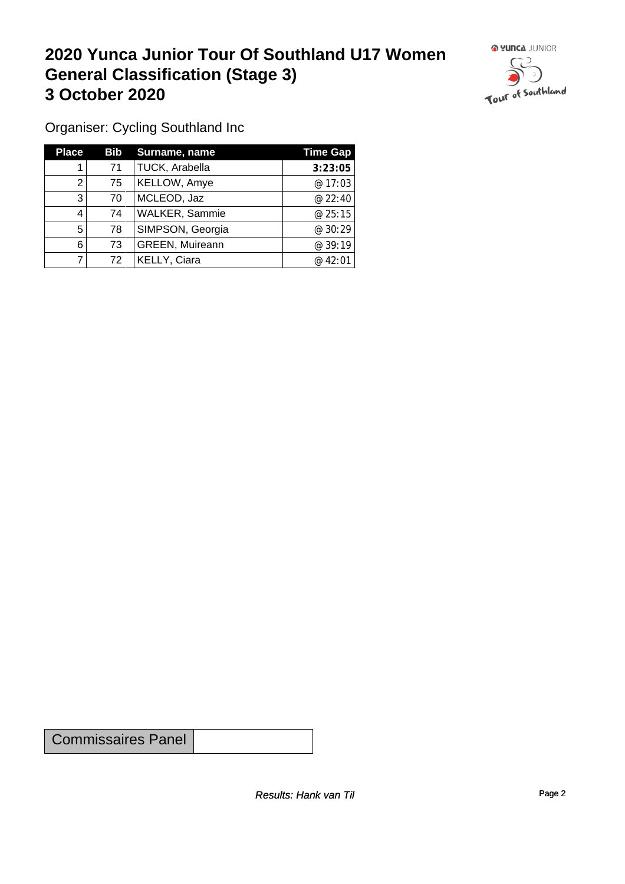#### **2020 Yunca Junior Tour Of Southland U17 Women General Classification (Stage 3)**<br> **3 October 2020 3 October 2020**



Organiser: Cycling Southland Inc

| <b>Place</b> | Bib | Surname, name          | <b>Time Gap</b> |
|--------------|-----|------------------------|-----------------|
|              | 71  | TUCK, Arabella         | 3:23:05         |
| 2            | 75  | KELLOW, Amye           | @ 17:03         |
| 3            | 70  | MCLEOD, Jaz            | @ 22:40         |
| 4            | 74  | <b>WALKER, Sammie</b>  | @ 25:15         |
| 5            | 78  | SIMPSON, Georgia       | @ 30:29         |
| 6            | 73  | <b>GREEN, Muireann</b> | @39:19          |
|              | 72  | KELLY, Ciara           | @ 42:01         |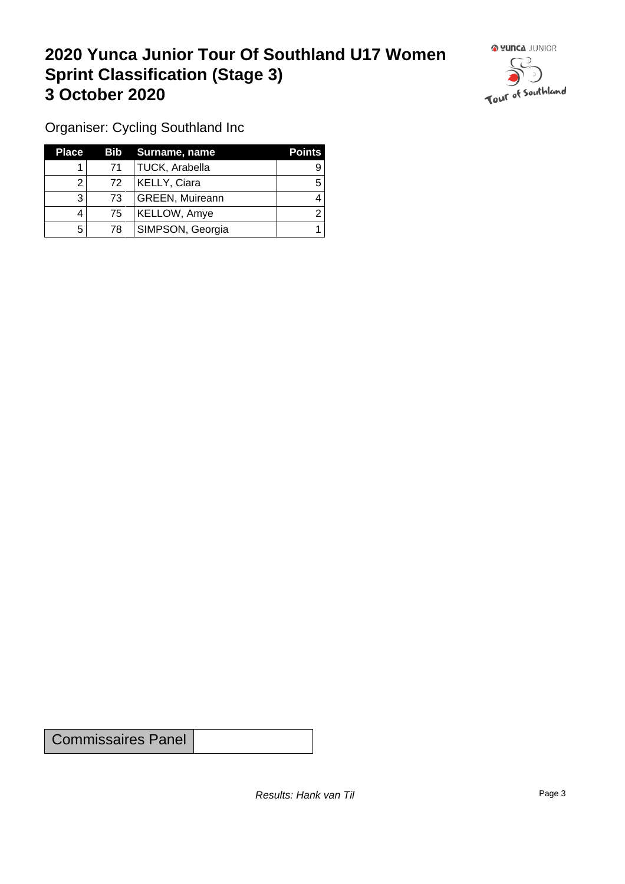## **2020 Yunca Junior Tour Of Southland U17 Women Sprint Classification (Stage 3) 3 October 2020**



Organiser: Cycling Southland Inc

| <b>Place</b> |    | Bib Surname, name      | <b>Points</b> |
|--------------|----|------------------------|---------------|
|              | 71 | <b>TUCK, Arabella</b>  |               |
|              | 72 | <b>KELLY, Ciara</b>    |               |
| 3            | 73 | <b>GREEN, Muireann</b> |               |
|              | 75 | <b>KELLOW, Amye</b>    |               |
| 5            | 78 | SIMPSON, Georgia       |               |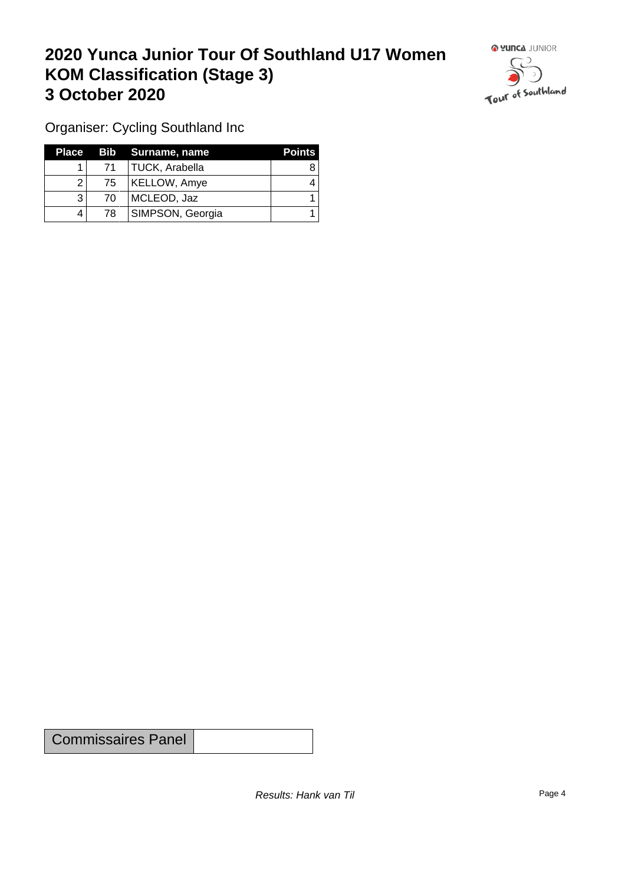## **2020 Yunca Junior Tour Of Southland U17 Women KOM Classification (Stage 3) 3 October 2020 1999 1999 1999 1999 1999 1999 1999 1999 1999 1999 1999 1999 1999 1999 1999 1999 1999 1999 1999 1999 1999 1999 1999 1999 1999 1999 1999 1999 1999 1**



Organiser: Cycling Southland Inc

|                 | Place Bib Surname, name | <b>Points</b> |
|-----------------|-------------------------|---------------|
| 71 <sup>1</sup> | TUCK, Arabella          |               |
| 75              | KELLOW, Amye            |               |
| 70              | MCLEOD, Jaz             |               |
| 78              | SIMPSON, Georgia        |               |